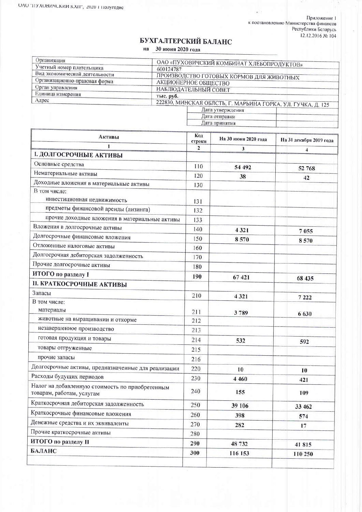Приложение 1<br>к постановлению Министерства финансов<br>Республики Беларусь<br>12.12.2016 № 104

ı,

## БУХГАЛТЕРСКИЙ БАЛАНС

на 30 июня 2020 года

| Организация                    | ОАО «ПУХОВИЧСКИЙ КОМБИНАТ ХЛЕБОПРОДУКТОВ»                   |  |  |  |  |
|--------------------------------|-------------------------------------------------------------|--|--|--|--|
| Учетный номер плательщика      | 600124787                                                   |  |  |  |  |
| Вид экономической деятельности | ПРОИЗВОДСТВО ГОТОВЫХ КОРМОВ ДЛЯ ЖИВОТНЫХ                    |  |  |  |  |
| Организационно-правовая форма  | АКЦИОНЕРНОЕ ОБЩЕСТВО                                        |  |  |  |  |
| Орган управления               | <b>НАБЛЮДАТЕЛЬНЫЙ СОВЕТ</b>                                 |  |  |  |  |
| Единица измерения              | тыс. руб.                                                   |  |  |  |  |
| Адрес                          | 222830, МИНСКАЯ ОБЛСТЬ, Г. МАРЬИНА ГОРКА, УЛ. ГУЧКА, Д. 125 |  |  |  |  |
|                                | Дата утверждения                                            |  |  |  |  |
|                                | Дата отправки                                               |  |  |  |  |
|                                | Дата принятия                                               |  |  |  |  |

| Активы                                                                       | Код<br>строки  | На 30 июня 2020 года | На 31 декабря 2019 года |  |
|------------------------------------------------------------------------------|----------------|----------------------|-------------------------|--|
|                                                                              | $\overline{2}$ | 3                    | 4                       |  |
| <b>І. ДОЛГОСРОЧНЫЕ АКТИВЫ</b>                                                |                |                      |                         |  |
| Основные средства                                                            | 110            | 54 492               | 52 768                  |  |
| Нематериальные активы                                                        | 120            | 38                   | 42                      |  |
| Доходные вложения в материальные активы                                      | 130            |                      |                         |  |
| В том числе:<br>инвестиционная недвижимость                                  | 131            |                      |                         |  |
| предметы финансовой аренды (лизинга)                                         | 132            |                      |                         |  |
| прочие доходные вложения в материальные активы                               | 133            |                      |                         |  |
| Вложения в долгосрочные активы                                               | 140            | 4321                 | 7055                    |  |
| Долгосрочные финансовые вложения                                             | 150            | 8570                 | 8570                    |  |
| Отложенные налоговые активы                                                  | 160            |                      |                         |  |
| Долгосрочная дебиторская задолженность                                       | 170            |                      |                         |  |
| Прочие долгосрочные активы                                                   | 180            |                      |                         |  |
| ИТОГО по разделу I                                                           | 190            | 67 421               | 68 435                  |  |
| <b>II. КРАТКОСРОЧНЫЕ АКТИВЫ</b>                                              |                |                      |                         |  |
| Запасы                                                                       | 210            | 4321                 | 7 2 2 2                 |  |
| В том числе:                                                                 |                |                      |                         |  |
| материалы                                                                    | 211            | 3789                 | 6 630                   |  |
| животные на выращивании и откорме                                            | 212            |                      |                         |  |
| незавершенное производство                                                   | 213            |                      |                         |  |
| готовая продукция и товары                                                   | 214            | 532                  | 592                     |  |
| товары отгруженные                                                           | 215            |                      |                         |  |
| прочие запасы                                                                | 216            |                      |                         |  |
| Долгосрочные активы, предназначенные для реализации                          | 220            | 10                   | 10                      |  |
| Расходы будущих периодов                                                     | 230            | 4 4 6 0              | 421                     |  |
| Налог на добавленную стоимость по приобретенным<br>товарам, работам, услугам | 240            | 155                  | 109                     |  |
| Краткосрочная дебиторская задолженность                                      | 250            | 39 106               | 33 462                  |  |
| Краткосрочные финансовые вложения                                            | 260            | 398                  | 574                     |  |
| Денежные средства и их эквиваленты                                           | 270            | 282                  | 17                      |  |
| Прочие краткосрочные активы                                                  | 280            |                      |                         |  |
| ИТОГО по разделу II                                                          | 290            | 48 732               | 41815                   |  |
| БАЛАНС                                                                       | 300            | 116 153              | 110 250                 |  |
|                                                                              |                |                      |                         |  |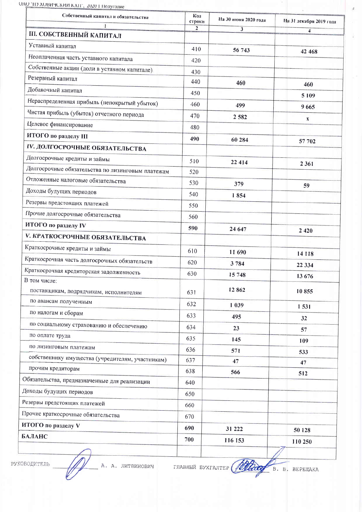ОАО ТІУ ХОВИЧСКИЙ КХП", 2020 І Полугодие

| Собственный капитал и обязательства<br>1               | Код<br>строки  | На 30 июня 2020 года    | На 31 декабря 2019 года |
|--------------------------------------------------------|----------------|-------------------------|-------------------------|
| <b>III. СОБСТВЕННЫЙ КАПИТАЛ</b>                        | $\overline{2}$ | $\overline{\mathbf{3}}$ | 4                       |
| Уставный капитал                                       | 410            |                         |                         |
| Неоплаченная часть уставного капитала                  |                | 56 743                  | 42 468                  |
| Собственные акции (доли в уставном капитале).          | 420            |                         |                         |
| Резервный капитал                                      | 430<br>440     |                         |                         |
| Добавочный капитал                                     |                | 460                     | 460                     |
| Нераспределенная прибыль (непокрытый убыток)           | 450            |                         | 5 1 0 9                 |
| Чистая прибыль (убыток) отчетного периода              | 460            | 499                     | 9665                    |
| Целевое финансирование                                 | 470            | 2 5 8 2                 | X                       |
| ИТОГО по разделу III                                   | 480            |                         |                         |
| IV. ДОЛГОСРОЧНЫЕ ОБЯЗАТЕЛЬСТВА                         | 490            | 60 284                  | 57 702                  |
| Долгосрочные кредиты и займы                           |                |                         |                         |
| Долгосрочные обязательства по лизинговым платежам      | 510            | 22 4 14                 | 2 3 6 1                 |
| Отложенные налоговые обязательства                     | 520            |                         |                         |
| Доходы будущих периодов                                | 530            | 379                     | 59                      |
| Резервы предстоящих платежей                           | 540            | 1854                    |                         |
| Прочие долгосрочные обязательства                      | 550            |                         |                         |
| ИТОГО по разделу IV                                    | 560            |                         |                         |
|                                                        | 590            | 24 647                  | 2 4 2 0                 |
| <b>V. КРАТКОСРОЧНЫЕ ОБЯЗАТЕЛЬСТВА</b>                  |                |                         |                         |
| Краткосрочные кредиты и займы                          | 610            | 11 690                  | 14 118                  |
| Краткосрочная часть долгосрочных обязательств          | 620            | 3784                    | 22 3 34                 |
| Краткосрочная кредиторская задолженность               | 630            | 15748                   | 13 676                  |
| В том числе:<br>поставщикам, подрядчикам, исполнителям | 631            | 12862                   | 10855                   |
| по авансам полученным                                  | 632            | 1 0 3 9                 | 1531                    |
| по налогам и сборам                                    | 633            | 495                     | 32                      |
| по социальному страхованию и обеспечению               | 634            | 23                      | 57                      |
| по оплате труда                                        | 635            | 145                     | 109                     |
| по лизинговым платежам                                 | 636            | 571                     | 533                     |
| собственнику имущества (учредителям, участникам)       | 637            | 47                      | 47                      |
| прочим кредиторам                                      | 638            | 566                     | 512                     |
| Обязательства, предназначенные для реализации          | 640            |                         |                         |
| Доходы будущих периодов                                | 650            |                         |                         |
| Резервы предстоящих платежей                           | 660            |                         |                         |
| Прочие краткосрочные обязательства                     | 670            |                         |                         |
| ИТОГО по разделу V                                     | 690            | 31 222                  | 50 128                  |
| БАЛАНС                                                 | 700            | 116 153                 |                         |
|                                                        |                |                         | 110 250                 |

РУКОВОДИТЕЛЬ

 $\vert t \vert$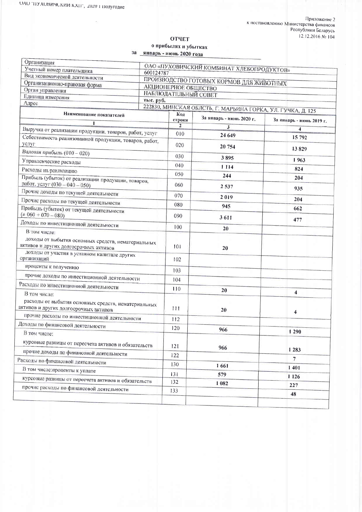$\sim$ 

## ОТЧЕТ

о прибылях и убытках за январь - июнь 2020 года

| Организация                                                                                  |                                          |                       |                                                             |                          |  |
|----------------------------------------------------------------------------------------------|------------------------------------------|-----------------------|-------------------------------------------------------------|--------------------------|--|
| Учетный номер плательщика                                                                    |                                          |                       | ОАО «ПУХОВИЧСКИЙ КОМБИНАТ ХЛЕБОПРОДУКТОВ»                   |                          |  |
| Вид экономической деятельности                                                               | 600124787                                |                       |                                                             |                          |  |
| Организационно-правовая форма                                                                | ПРОИЗВОДСТВО ГОТОВЫХ КОРМОВ ДЛЯ ЖИВОТНЫХ |                       |                                                             |                          |  |
| Орган управления                                                                             | АКЦИОНЕРНОЕ ОБЩЕСТВО                     |                       |                                                             |                          |  |
| Единица измерения                                                                            | НАБЛЮДАТЕЛЬНЫЙ СОВЕТ<br>тыс. руб.        |                       |                                                             |                          |  |
| Адрес                                                                                        |                                          |                       | 222830, МИНСКАЯ ОБЛСТЬ, Г. МАРЬИНА ГОРКА, УЛ. ГУЧКА, Д. 125 |                          |  |
| Наименование показателей                                                                     |                                          | Код                   |                                                             |                          |  |
| 1                                                                                            |                                          | строки                | За январь - июнь 2020 г.                                    | За январь - июнь 2019 г. |  |
|                                                                                              |                                          | $\overline{2}$<br>010 | $\overline{\mathbf{3}}$                                     | 4                        |  |
| Выручка от реализации продукции, товаров, работ, услуг                                       |                                          |                       | 24 649                                                      | 15 792                   |  |
| Себестоимость реализованной продукции, товаров, работ,<br>услуг                              |                                          | 020                   | 20 754                                                      | 13829                    |  |
| Валовая прибыль (010 - 020)                                                                  |                                          | 030                   |                                                             |                          |  |
| Управленческие расходы                                                                       |                                          |                       | 3895                                                        | 1963                     |  |
| Расходы на реализацию                                                                        |                                          | 040                   | 1 1 1 4                                                     | 824                      |  |
| Прибыль (убыток) от реализации продукции, товаров,                                           |                                          | 050                   | 244                                                         | 204                      |  |
| работ, услуг (030 - 040 - 050)                                                               |                                          | 060                   | 2537                                                        | 935                      |  |
| Прочие доходы по текущей деятельности                                                        |                                          | 070                   | 2019                                                        |                          |  |
| Прочие расходы по текущей деятельности                                                       |                                          | 080                   | 945                                                         | 204                      |  |
| Прибыль (убыток) от текущей деятельности<br>$(\pm 060 + 070 - 080)$                          |                                          | 090                   | 3611                                                        | 662                      |  |
| Доходы по инвестиционной деятельности                                                        |                                          | 100                   |                                                             | 477                      |  |
| В том числе:                                                                                 |                                          |                       | 20                                                          |                          |  |
| доходы от выбытия основных средств, нематериальных<br>активов и других долгосрочных активов  |                                          | 101                   | 20                                                          |                          |  |
| доходы от участия в уставном капитале других<br>организаций                                  |                                          | 102                   |                                                             |                          |  |
| проценты к получению                                                                         |                                          | 103                   |                                                             |                          |  |
| прочие доходы по инвестиционной деятельности                                                 |                                          | 104                   |                                                             |                          |  |
| Расходы по инвестиционной деятельности                                                       |                                          |                       |                                                             |                          |  |
| В том числе:                                                                                 |                                          | 110                   | 20                                                          | 4                        |  |
| расходы от выбытия основных средств, нематериальных<br>активов и других долгосрочных активов |                                          | 111                   | 20                                                          | $\overline{\mathbf{4}}$  |  |
| прочие расходы по инвестиционной деятельности                                                |                                          | 112                   |                                                             |                          |  |
| Доходы по финансовой деятельности                                                            |                                          | 120                   | 966                                                         |                          |  |
| В том числе:                                                                                 |                                          |                       |                                                             | 1 2 9 0                  |  |
| курсовые разницы от пересчета активов и обязательств                                         |                                          | 121                   | 966                                                         |                          |  |
| прочие доходы по финансовой деятельности                                                     |                                          | 122                   |                                                             | 1 2 8 3                  |  |
| Расходы по финансовой деятельности                                                           |                                          | 130                   |                                                             | $\overline{7}$           |  |
| В том числе: проценты к уплате                                                               |                                          |                       | 1661                                                        | 1401                     |  |
| курсовые разницы от пересчета активов и обязательств                                         |                                          | 131                   | 579                                                         | 1 1 2 6                  |  |
| прочие расходы по финансовой деятельности                                                    |                                          | 132                   | 1 0 8 2                                                     | 227                      |  |
|                                                                                              |                                          | 133                   |                                                             |                          |  |